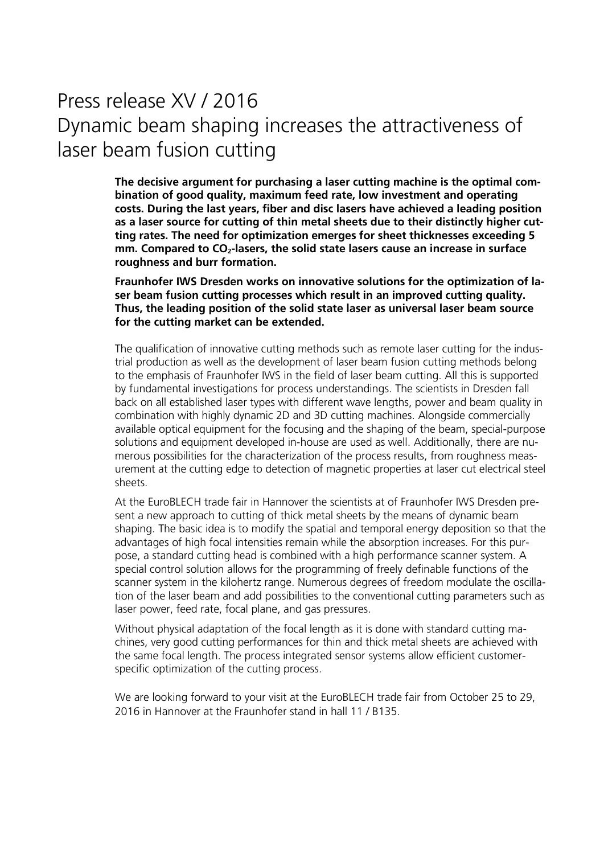## Press release XV / 2016 Dynamic beam shaping increases the attractiveness of laser beam fusion cutting

**The decisive argument for purchasing a laser cutting machine is the optimal combination of good quality, maximum feed rate, low investment and operating costs. During the last years, fiber and disc lasers have achieved a leading position as a laser source for cutting of thin metal sheets due to their distinctly higher cutting rates. The need for optimization emerges for sheet thicknesses exceeding 5**  mm. Compared to CO<sub>2</sub>-lasers, the solid state lasers cause an increase in surface **roughness and burr formation.** 

**Fraunhofer IWS Dresden works on innovative solutions for the optimization of laser beam fusion cutting processes which result in an improved cutting quality. Thus, the leading position of the solid state laser as universal laser beam source for the cutting market can be extended.** 

The qualification of innovative cutting methods such as remote laser cutting for the industrial production as well as the development of laser beam fusion cutting methods belong to the emphasis of Fraunhofer IWS in the field of laser beam cutting. All this is supported by fundamental investigations for process understandings. The scientists in Dresden fall back on all established laser types with different wave lengths, power and beam quality in combination with highly dynamic 2D and 3D cutting machines. Alongside commercially available optical equipment for the focusing and the shaping of the beam, special-purpose solutions and equipment developed in-house are used as well. Additionally, there are numerous possibilities for the characterization of the process results, from roughness measurement at the cutting edge to detection of magnetic properties at laser cut electrical steel sheets.

At the EuroBLECH trade fair in Hannover the scientists at of Fraunhofer IWS Dresden present a new approach to cutting of thick metal sheets by the means of dynamic beam shaping. The basic idea is to modify the spatial and temporal energy deposition so that the advantages of high focal intensities remain while the absorption increases. For this purpose, a standard cutting head is combined with a high performance scanner system. A special control solution allows for the programming of freely definable functions of the scanner system in the kilohertz range. Numerous degrees of freedom modulate the oscillation of the laser beam and add possibilities to the conventional cutting parameters such as laser power, feed rate, focal plane, and gas pressures.

Without physical adaptation of the focal length as it is done with standard cutting machines, very good cutting performances for thin and thick metal sheets are achieved with the same focal length. The process integrated sensor systems allow efficient customerspecific optimization of the cutting process.

We are looking forward to your visit at the EuroBLECH trade fair from October 25 to 29, 2016 in Hannover at the Fraunhofer stand in hall 11 / B135.